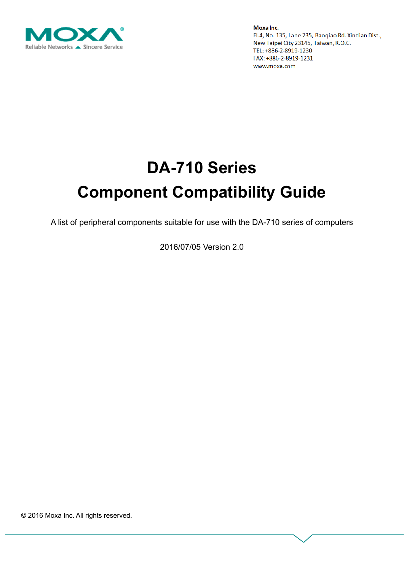

# **DA-710 Series Component Compatibility Guide**

A list of peripheral components suitable for use with the DA-710 series of computers

2016/07/05 Version 2.0

© 2016 Moxa Inc. All rights reserved.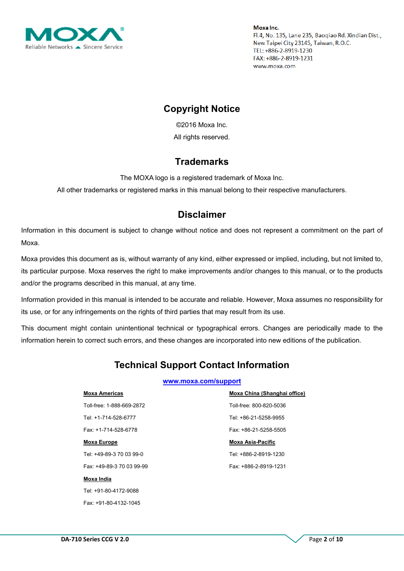

## **Copyright Notice**

©2016 Moxa Inc. All rights reserved.

#### **Trademarks**

The MOXA logo is a registered trademark of Moxa Inc.

All other trademarks or registered marks in this manual belong to their respective manufacturers.

## **Disclaimer**

Information in this document is subject to change without notice and does not represent a commitment on the part of Moxa.

Moxa provides this document as is, without warranty of any kind, either expressed or implied, including, but not limited to, its particular purpose. Moxa reserves the right to make improvements and/or changes to this manual, or to the products and/or the programs described in this manual, at any time.

Information provided in this manual is intended to be accurate and reliable. However, Moxa assumes no responsibility for its use, or for any infringements on the rights of third parties that may result from its use.

This document might contain unintentional technical or typographical errors. Changes are periodically made to the information herein to correct such errors, and these changes are incorporated into new editions of the publication.

# **Technical Support Contact Information**

#### **[www.moxa.com/support](http://www.moxa.com/support)**

| <b>Moxa Americas</b>      | Moxa China (Shanghai office) |
|---------------------------|------------------------------|
| Toll-free: 1-888-669-2872 | Toll-free: 800-820-5036      |
| Tel: +1-714-528-6777      | Tel: +86-21-5258-9955        |
| Fax: +1-714-528-6778      | Fax: +86-21-5258-5505        |
| <b>Moxa Europe</b>        | <b>Moxa Asia-Pacific</b>     |
| Tel: +49-89-3 70 03 99-0  | Tel: +886-2-8919-1230        |
| Fax: +49-89-3 70 03 99-99 | Fax: +886-2-8919-1231        |
| Moxa India                |                              |

Tel: +91-80-4172-9088 Fax: +91-80-4132-1045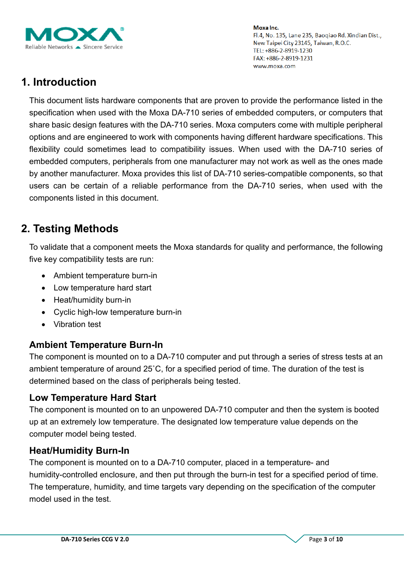

# **1. Introduction**

This document lists hardware components that are proven to provide the performance listed in the specification when used with the Moxa DA-710 series of embedded computers, or computers that share basic design features with the DA-710 series. Moxa computers come with multiple peripheral options and are engineered to work with components having different hardware specifications. This flexibility could sometimes lead to compatibility issues. When used with the DA-710 series of embedded computers, peripherals from one manufacturer may not work as well as the ones made by another manufacturer. Moxa provides this list of DA-710 series-compatible components, so that users can be certain of a reliable performance from the DA-710 series, when used with the components listed in this document.

# **2. Testing Methods**

To validate that a component meets the Moxa standards for quality and performance, the following five key compatibility tests are run:

- Ambient temperature burn-in
- Low temperature hard start
- Heat/humidity burn-in
- Cyclic high-low temperature burn-in
- Vibration test

## **Ambient Temperature Burn-In**

The component is mounted on to a DA-710 computer and put through a series of stress tests at an ambient temperature of around 25˚C, for a specified period of time. The duration of the test is determined based on the class of peripherals being tested.

## **Low Temperature Hard Start**

The component is mounted on to an unpowered DA-710 computer and then the system is booted up at an extremely low temperature. The designated low temperature value depends on the computer model being tested.

## **Heat/Humidity Burn-In**

The component is mounted on to a DA-710 computer, placed in a temperature- and humidity-controlled enclosure, and then put through the burn-in test for a specified period of time. The temperature, humidity, and time targets vary depending on the specification of the computer model used in the test.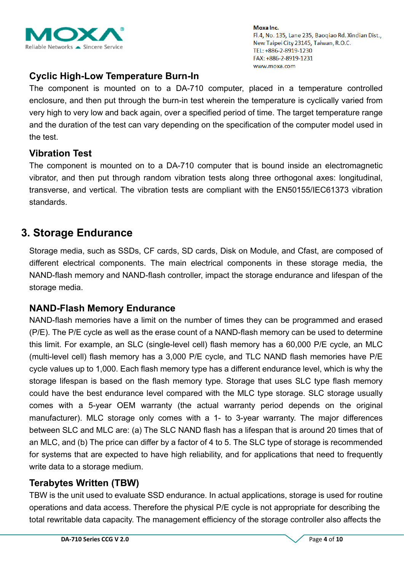

## **Cyclic High-Low Temperature Burn-In**

The component is mounted on to a DA-710 computer, placed in a temperature controlled enclosure, and then put through the burn-in test wherein the temperature is cyclically varied from very high to very low and back again, over a specified period of time. The target temperature range and the duration of the test can vary depending on the specification of the computer model used in the test.

## **Vibration Test**

The component is mounted on to a DA-710 computer that is bound inside an electromagnetic vibrator, and then put through random vibration tests along three orthogonal axes: longitudinal, transverse, and vertical. The vibration tests are compliant with the EN50155/IEC61373 vibration standards.

## **3. Storage Endurance**

Storage media, such as SSDs, CF cards, SD cards, Disk on Module, and Cfast, are composed of different electrical components. The main electrical components in these storage media, the NAND-flash memory and NAND-flash controller, impact the storage endurance and lifespan of the storage media.

## **NAND-Flash Memory Endurance**

NAND-flash memories have a limit on the number of times they can be programmed and erased (P/E). The P/E cycle as well as the erase count of a NAND-flash memory can be used to determine this limit. For example, an SLC (single-level cell) flash memory has a 60,000 P/E cycle, an MLC (multi-level cell) flash memory has a 3,000 P/E cycle, and TLC NAND flash memories have P/E cycle values up to 1,000. Each flash memory type has a different endurance level, which is why the storage lifespan is based on the flash memory type. Storage that uses SLC type flash memory could have the best endurance level compared with the MLC type storage. SLC storage usually comes with a 5-year OEM warranty (the actual warranty period depends on the original manufacturer). MLC storage only comes with a 1- to 3-year warranty. The major differences between SLC and MLC are: (a) The SLC NAND flash has a lifespan that is around 20 times that of an MLC, and (b) The price can differ by a factor of 4 to 5. The SLC type of storage is recommended for systems that are expected to have high reliability, and for applications that need to frequently write data to a storage medium.

## **Terabytes Written (TBW)**

TBW is the unit used to evaluate SSD endurance. In actual applications, storage is used for routine operations and data access. Therefore the physical P/E cycle is not appropriate for describing the total rewritable data capacity. The management efficiency of the storage controller also affects the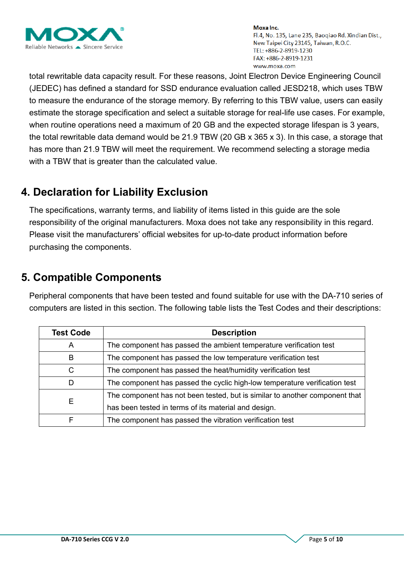

total rewritable data capacity result. For these reasons, Joint Electron Device Engineering Council (JEDEC) has defined a standard for SSD endurance evaluation called JESD218, which uses TBW to measure the endurance of the storage memory. By referring to this TBW value, users can easily estimate the storage specification and select a suitable storage for real-life use cases. For example, when routine operations need a maximum of 20 GB and the expected storage lifespan is 3 years, the total rewritable data demand would be 21.9 TBW (20 GB x 365 x 3). In this case, a storage that has more than 21.9 TBW will meet the requirement. We recommend selecting a storage media with a TBW that is greater than the calculated value.

# **4. Declaration for Liability Exclusion**

The specifications, warranty terms, and liability of items listed in this guide are the sole responsibility of the original manufacturers. Moxa does not take any responsibility in this regard. Please visit the manufacturers' official websites for up-to-date product information before purchasing the components.

# **5. Compatible Components**

Peripheral components that have been tested and found suitable for use with the DA-710 series of computers are listed in this section. The following table lists the Test Codes and their descriptions:

| <b>Test Code</b> | <b>Description</b>                                                          |
|------------------|-----------------------------------------------------------------------------|
| A                | The component has passed the ambient temperature verification test          |
| B                | The component has passed the low temperature verification test              |
| C                | The component has passed the heat/humidity verification test                |
| D                | The component has passed the cyclic high-low temperature verification test  |
|                  | The component has not been tested, but is similar to another component that |
| Е                | has been tested in terms of its material and design.                        |
| F                | The component has passed the vibration verification test                    |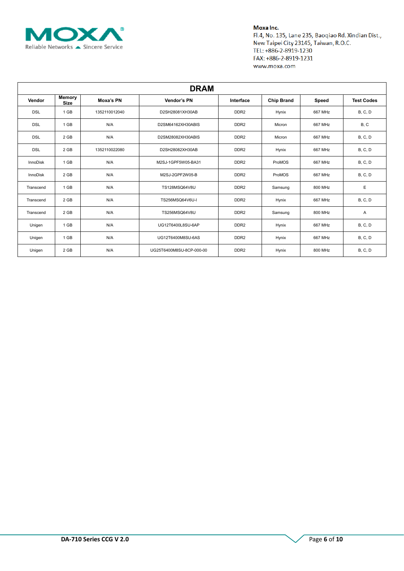

| <b>DRAM</b>     |                       |               |                          |                  |                   |         |                   |  |  |  |
|-----------------|-----------------------|---------------|--------------------------|------------------|-------------------|---------|-------------------|--|--|--|
| Vendor          | Memory<br><b>Size</b> | Moxa's PN     | Vendor's PN              | Interface        | <b>Chip Brand</b> | Speed   | <b>Test Codes</b> |  |  |  |
| <b>DSL</b>      | 1 GB                  | 1352110012040 | D2SH28081XH30AB          | DDR <sub>2</sub> | Hynix             | 667 MHz | <b>B</b> , C, D   |  |  |  |
| <b>DSL</b>      | 1 GB                  | N/A           | D2SM64162XH30ABIS        | DDR <sub>2</sub> | Micron            | 667 MHz | B, C              |  |  |  |
| <b>DSL</b>      | 2 GB                  | N/A           | D2SM28082XH30ABIS        | DDR <sub>2</sub> | Micron            | 667 MHz | <b>B, C, D</b>    |  |  |  |
| <b>DSL</b>      | 2 GB                  | 1352110022080 | D2SH28082XH30AB          | DDR <sub>2</sub> | Hynix             | 667 MHz | <b>B, C, D</b>    |  |  |  |
| <b>InnoDisk</b> | 1 GB                  | N/A           | M2SJ-1GPF5W05-BA31       | DDR <sub>2</sub> | ProMOS            | 667 MHz | <b>B</b> , C, D   |  |  |  |
| <b>InnoDisk</b> | 2 GB                  | N/A           | M2SJ-2GPF2W05-B          | DDR <sub>2</sub> | ProMOS            | 667 MHz | <b>B</b> , C, D   |  |  |  |
| Transcend       | 1 GB                  | N/A           | TS128MSQ64V8U            | DDR <sub>2</sub> | Samsung           | 800 MHz | Ε                 |  |  |  |
| Transcend       | 2 GB                  | N/A           | TS256MSQ64V6U-I          | DDR <sub>2</sub> | Hynix             | 667 MHz | <b>B</b> , C, D   |  |  |  |
| Transcend       | 2 GB                  | N/A           | TS256MSQ64V8U            | DDR <sub>2</sub> | Samsung           | 800 MHz | Α                 |  |  |  |
| Unigen          | 1 GB                  | N/A           | UG12T6400L8SU-6AP        | DDR <sub>2</sub> | Hynix             | 667 MHz | <b>B</b> , C, D   |  |  |  |
| Unigen          | 1 GB                  | N/A           | UG12T6400M8SU-6AS        | DDR <sub>2</sub> | Hynix             | 667 MHz | <b>B, C, D</b>    |  |  |  |
| Unigen          | 2 GB                  | N/A           | UG25T6400M8SU-8CP-000-00 | DDR <sub>2</sub> | Hynix             | 800 MHz | <b>B, C, D</b>    |  |  |  |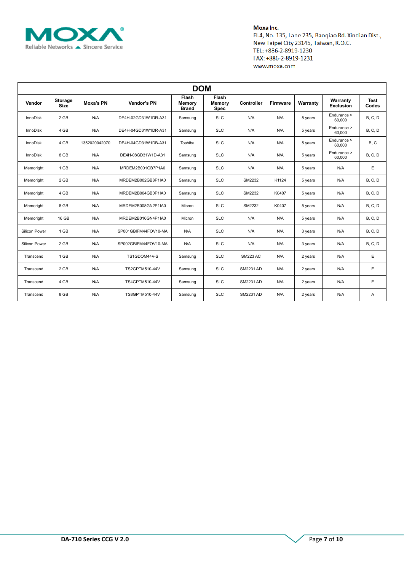

| <b>DOM</b>      |                        |               |                      |                                               |                                |                  |                 |          |                              |                      |  |
|-----------------|------------------------|---------------|----------------------|-----------------------------------------------|--------------------------------|------------------|-----------------|----------|------------------------------|----------------------|--|
| Vendor          | Storage<br><b>Size</b> | Moxa's PN     | Vendor's PN          | <b>Flash</b><br><b>Memory</b><br><b>Brand</b> | Flash<br>Memory<br><b>Spec</b> | Controller       | <b>Firmware</b> | Warranty | Warranty<br><b>Exclusion</b> | <b>Test</b><br>Codes |  |
| <b>InnoDisk</b> | 2 GB                   | N/A           | DE4H-02GD31W1DR-A31  | Samsung                                       | <b>SLC</b>                     | N/A              | N/A             | 5 years  | Endurance ><br>60,000        | B, C, D              |  |
| InnoDisk        | 4 GB                   | N/A           | DE4H-04GD31W1DR-A31  | Samsung                                       | <b>SLC</b>                     | N/A              | N/A             | 5 years  | Endurance ><br>60,000        | B, C, D              |  |
| <b>InnoDisk</b> | 4 GB                   | 1352020042070 | DE4H-04GD31W1DB-A31  | Toshiba                                       | <b>SLC</b>                     | N/A              | N/A             | 5 years  | Endurance ><br>60,000        | B, C                 |  |
| <b>InnoDisk</b> | 8 GB                   | N/A           | DE4H-08GD31W1D-A31   | Samsung                                       | <b>SLC</b>                     | N/A              | N/A             | 5 years  | Endurance ><br>60,000        | B, C, D              |  |
| Memoright       | 1 GB                   | N/A           | MRDEM2B001GB7P1A0    | Samsung                                       | <b>SLC</b>                     | N/A              | N/A             | 5 years  | N/A                          | E.                   |  |
| Memoright       | 2 GB                   | N/A           | MRDEM2B002GB8P1IA0   | Samsung                                       | <b>SLC</b>                     | SM2232           | K1124           | 5 years  | N/A                          | B, C, D              |  |
| Memoright       | 4 GB                   | N/A           | MRDEM2B004GB0P1IA0   | Samsung                                       | <b>SLC</b>                     | SM2232           | K0407           | 5 years  | N/A                          | B, C, D              |  |
| Memoright       | 8 GB                   | N/A           | MRDEM2B008GN2P1IA0   | Micron                                        | <b>SLC</b>                     | SM2232           | K0407           | 5 years  | N/A                          | B, C, D              |  |
| Memoright       | 16 GB                  | N/A           | MRDEM2B016GN4P1IA0   | Micron                                        | <b>SLC</b>                     | N/A              | N/A             | 5 years  | N/A                          | B, C, D              |  |
| Silicon Power   | 1 GB                   | N/A           | SP001GBIFM44FOV10-MA | N/A                                           | <b>SLC</b>                     | N/A              | N/A             | 3 years  | N/A                          | B, C, D              |  |
| Silicon Power   | 2 GB                   | N/A           | SP002GBIFM44FOV10-MA | N/A                                           | <b>SLC</b>                     | N/A              | N/A             | 3 years  | N/A                          | B, C, D              |  |
| Transcend       | 1 GB                   | N/A           | TS1GDOM44V-S         | Samsung                                       | <b>SLC</b>                     | <b>SM223 AC</b>  | N/A             | 2 years  | N/A                          | E                    |  |
| Transcend       | 2 GB                   | N/A           | TS2GPTM510-44V       | Samsung                                       | <b>SLC</b>                     | <b>SM2231 AD</b> | N/A             | 2 years  | N/A                          | E                    |  |
| Transcend       | 4 GB                   | N/A           | TS4GPTM510-44V       | Samsung                                       | <b>SLC</b>                     | <b>SM2231 AD</b> | N/A             | 2 years  | N/A                          | E                    |  |
| Transcend       | 8 GB                   | N/A           | TS8GPTM510-44V       | Samsung                                       | <b>SLC</b>                     | <b>SM2231 AD</b> | N/A             | 2 years  | N/A                          | Α                    |  |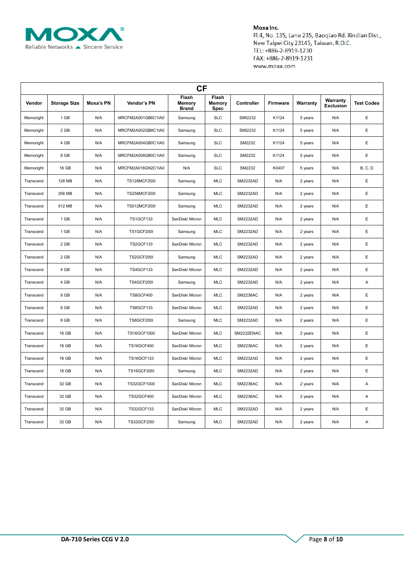

| <b>CF</b> |                     |           |                     |                                 |                         |                   |                 |          |                              |                   |  |
|-----------|---------------------|-----------|---------------------|---------------------------------|-------------------------|-------------------|-----------------|----------|------------------------------|-------------------|--|
| Vendor    | <b>Storage Size</b> | Moxa's PN | Vendor's PN         | Flash<br>Memory<br><b>Brand</b> | Flash<br>Memory<br>Spec | <b>Controller</b> | <b>Firmware</b> | Warranty | Warranty<br><b>Exclusion</b> | <b>Test Codes</b> |  |
| Memoright | 1 GB                | N/A       | MRCFM2A001GB6C1IA0  | Samsung                         | <b>SLC</b>              | <b>SMI2232</b>    | K1124           | 5 years  | N/A                          | E                 |  |
| Memoright | 2 GB                | N/A       | MRCFM2A002GB8C1IA0  | Samsung                         | <b>SLC</b>              | <b>SMI2232</b>    | K1124           | 5 years  | N/A                          | E                 |  |
| Memoright | 4 GB                | N/A       | MRCFM2A004GB0C1IA0  | Samsung                         | <b>SLC</b>              | SM2232            | K1124           | 5 years  | N/A                          | E                 |  |
| Memoright | 8 GB                | N/A       | MRCFM2A008GB0C1IA0  | Samsung                         | <b>SLC</b>              | SM2232            | K1124           | 5 years  | N/A                          | E                 |  |
| Memoright | 16 GB               | N/A       | MRCFM2A016GN2C1IA0  | N/A                             | <b>SLC</b>              | SM2232            | K0407           | 5 years  | N/A                          | <b>B, C, D</b>    |  |
| Transcend | 128 MB              | N/A       | TS128MCF200I        | Samsung                         | <b>MLC</b>              | <b>SM2232AD</b>   | N/A             | 2 years  | N/A                          | E                 |  |
| Transcend | 256 MB              | N/A       | <b>TS256MCF200I</b> | Samsung                         | <b>MLC</b>              | <b>SM2232AD</b>   | N/A             | 2 years  | N/A                          | E                 |  |
| Transcend | 512 MB              | N/A       | <b>TS512MCF200I</b> | Samsung                         | <b>MLC</b>              | <b>SM2232AD</b>   | N/A             | 2 years  | N/A                          | E                 |  |
| Transcend | 1 GB                | N/A       | <b>TS1GCF133</b>    | SanDisk/ Micron                 | <b>MLC</b>              | <b>SM2232AD</b>   | N/A             | 2 years  | N/A                          | E                 |  |
| Transcend | 1 GB                | N/A       | <b>TS1GCF200I</b>   | Samsung                         | <b>MLC</b>              | <b>SM2232AD</b>   | N/A             | 2 years  | N/A                          | E                 |  |
| Transcend | 2 GB                | N/A       | <b>TS2GCF133</b>    | SanDisk/ Micron                 | <b>MLC</b>              | <b>SM2232AD</b>   | N/A             | 2 years  | N/A                          | E                 |  |
| Transcend | 2 GB                | N/A       | <b>TS2GCF200I</b>   | Samsung                         | <b>MLC</b>              | <b>SM2232AD</b>   | N/A             | 2 years  | N/A                          | Ε                 |  |
| Transcend | 4 GB                | N/A       | <b>TS4GCF133</b>    | SanDisk/ Micron                 | <b>MLC</b>              | <b>SM2232AD</b>   | N/A             | 2 years  | N/A                          | E                 |  |
| Transcend | 4 GB                | N/A       | <b>TS4GCF200I</b>   | Samsung                         | <b>MLC</b>              | <b>SM2232AD</b>   | N/A             | 2 years  | N/A                          | Α                 |  |
| Transcend | 8 GB                | N/A       | <b>TS8GCF400</b>    | SanDisk/ Micron                 | <b>MLC</b>              | <b>SM2236AC</b>   | N/A             | 2 years  | N/A                          | E                 |  |
| Transcend | 8 GB                | N/A       | <b>TS8GCF133</b>    | SanDisk/ Micron                 | <b>MLC</b>              | <b>SM2232AD</b>   | N/A             | 2 years  | N/A                          | E                 |  |
| Transcend | 8 GB                | N/A       | <b>TS8GCF200I</b>   | Samsung                         | <b>MLC</b>              | <b>SM2232AD</b>   | N/A             | 2 years  | N/A                          | E                 |  |
| Transcend | 16 GB               | N/A       | TS16GCF1000         | SanDisk/ Micron                 | <b>MLC</b>              | SM2232ENAC        | N/A             | 2 years  | N/A                          | E                 |  |
| Transcend | 16 GB               | N/A       | <b>TS16GCF400</b>   | SanDisk/ Micron                 | <b>MLC</b>              | <b>SM2236AC</b>   | N/A             | 2 years  | N/A                          | E                 |  |
| Transcend | 16 GB               | N/A       | <b>TS16GCF133</b>   | SanDisk/ Micron                 | <b>MLC</b>              | <b>SM2232AD</b>   | N/A             | 2 years  | N/A                          | E                 |  |
| Transcend | 16 GB               | N/A       | <b>TS16GCF200I</b>  | Samsung                         | <b>MLC</b>              | <b>SM2232AD</b>   | N/A             | 2 years  | N/A                          | E                 |  |
| Transcend | 32 GB               | N/A       | TS32GCF1000         | SanDisk/ Micron                 | <b>MLC</b>              | <b>SM2236AC</b>   | N/A             | 2 years  | N/A                          | A                 |  |
| Transcend | 32 GB               | N/A       | <b>TS32GCF400</b>   | SanDisk/ Micron                 | <b>MLC</b>              | <b>SM2236AC</b>   | N/A             | 2 years  | N/A                          | A                 |  |
| Transcend | 32 GB               | N/A       | <b>TS32GCF133</b>   | SanDisk/ Micron                 | <b>MLC</b>              | <b>SM2232AD</b>   | N/A             | 2 years  | N/A                          | E                 |  |
| Transcend | 32 GB               | N/A       | <b>TS32GCF200I</b>  | Samsung                         | <b>MLC</b>              | SM2232AD          | N/A             | 2 years  | N/A                          | A                 |  |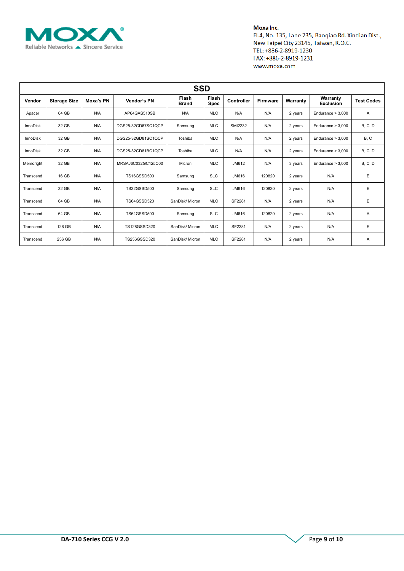

| <b>SSD</b>      |                     |           |                    |                       |                      |                |                 |          |                              |                   |
|-----------------|---------------------|-----------|--------------------|-----------------------|----------------------|----------------|-----------------|----------|------------------------------|-------------------|
| Vendor          | <b>Storage Size</b> | Moxa's PN | Vendor's PN        | Flash<br><b>Brand</b> | Flash<br><b>Spec</b> | Controller     | <b>Firmware</b> | Warranty | Warranty<br><b>Exclusion</b> | <b>Test Codes</b> |
| Apacer          | 64 GB               | N/A       | AP64GAS510SB       | N/A                   | <b>MLC</b>           | N/A            | N/A             | 2 years  | Endurance $> 3,000$          | Α                 |
| InnoDisk        | 32 GB               | N/A       | DGS25-32GD67SC1QCP | Samsung               | <b>MLC</b>           | <b>SMI2232</b> | N/A             | 2 years  | Endurance $> 3,000$          | <b>B</b> , C, D   |
| <b>InnoDisk</b> | 32 GB               | N/A       | DGS25-32GD81SC1QCP | Toshiba               | <b>MLC</b>           | N/A            | N/A             | 2 years  | Endurance $> 3,000$          | B, C              |
| InnoDisk        | 32 GB               | N/A       | DGS25-32GD81BC1QCP | Toshiba               | <b>MLC</b>           | N/A            | N/A             | 2 years  | Endurance $> 3,000$          | <b>B, C, D</b>    |
| Memoright       | 32 GB               | N/A       | MRSAJ6C032GC125C00 | Micron                | <b>MLC</b>           | JM612          | N/A             | 3 years  | Endurance $> 3,000$          | <b>B, C, D</b>    |
| Transcend       | 16 GB               | N/A       | <b>TS16GSSD500</b> | Samsung               | <b>SLC</b>           | JM616          | 120820          | 2 years  | N/A                          | E                 |
| Transcend       | 32 GB               | N/A       | TS32GSSD500        | Samsung               | <b>SLC</b>           | JM616          | 120820          | 2 years  | N/A                          | Ε                 |
| Transcend       | 64 GB               | N/A       | TS64GSSD320        | SanDisk/ Micron       | <b>MLC</b>           | SF2281         | N/A             | 2 years  | N/A                          | Ε                 |
| Transcend       | 64 GB               | N/A       | <b>TS64GSSD500</b> | Samsung               | <b>SLC</b>           | JM616          | 120820          | 2 years  | N/A                          | Α                 |
| Transcend       | 128 GB              | N/A       | TS128GSSD320       | SanDisk/ Micron       | <b>MLC</b>           | SF2281         | N/A             | 2 years  | N/A                          | Ε                 |
| Transcend       | 256 GB              | N/A       | TS256GSSD320       | SanDisk/ Micron       | <b>MLC</b>           | SF2281         | N/A             | 2 years  | N/A                          | Α                 |